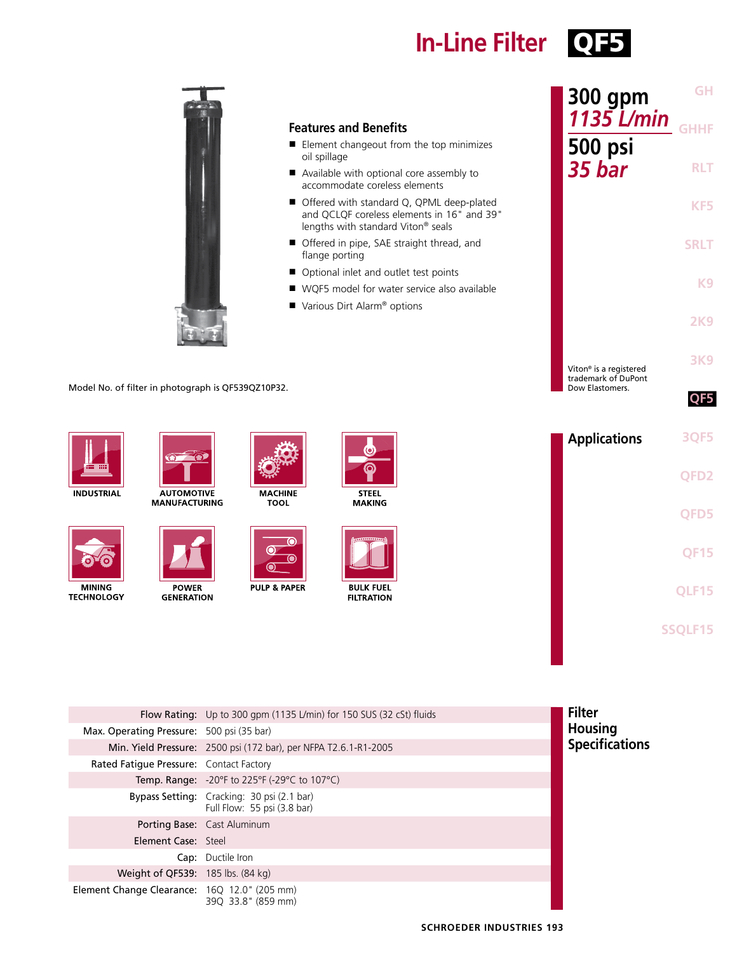**In-Line Filter** QF5



| lengths with standard Viton® seals<br>Offered in pipe, SAE straight thread, and<br><b>SRLT</b><br>flange porting<br>■ Optional inlet and outlet test points<br>K <sub>9</sub><br>■ WQF5 model for water service also available<br>Various Dirt Alarm <sup>®</sup> options<br><b>2K9</b><br><b>3K9</b><br>Viton <sup>®</sup> is a registered<br>trademark of DuPont<br>Model No. of filter in photograph is QF539QZ10P32.<br>Dow Elastomers.<br>QF5<br>3QF5<br><b>Applications</b><br>Ю<br>QFD <sub>2</sub><br><b>MACHINE</b><br><b>INDUSTRIAL</b><br><b>AUTOMOTIVE</b><br><b>STEEL</b><br><b>MANUFACTURING</b><br><b>TOOL</b><br><b>MAKING</b><br><b>OFD5</b><br><b>QF15</b><br><b>PULP &amp; PAPER</b><br><b>MINING</b><br><b>POWER</b><br><b>BULK FUEL</b><br>OLF15<br><b>TECHNOLOGY</b><br><b>GENERATION</b><br><b>FILTRATION</b><br><b>SSOLF15</b> |
|--------------------------------------------------------------------------------------------------------------------------------------------------------------------------------------------------------------------------------------------------------------------------------------------------------------------------------------------------------------------------------------------------------------------------------------------------------------------------------------------------------------------------------------------------------------------------------------------------------------------------------------------------------------------------------------------------------------------------------------------------------------------------------------------------------------------------------------------------------|
| <b>Filter</b><br>Flow Rating: Up to 300 gpm (1135 L/min) for 150 SUS (32 cSt) fluids<br><b>Housing</b><br>Max. Operating Pressure: 500 psi (35 bar)<br><b>Specifications</b><br>Min. Yield Pressure: 2500 psi (172 bar), per NFPA T2.6.1-R1-2005<br>Rated Fatigue Pressure: Contact Factory<br>Temp. Range: - 20°F to 225°F (-29°C to 107°C)<br>Bypass Setting: Cracking: 30 psi (2.1 bar)<br>Full Flow: 55 psi (3.8 bar)<br>Porting Base: Cast Aluminum<br>Element Case: Steel<br>Cap: Ductile Iron                                                                                                                                                                                                                                                                                                                                                   |

Element Change Clearance: 16Q 12.0" (205 mm)

39Q 33.8" (859 mm)

**SCHROEDER INDUSTRIES 193**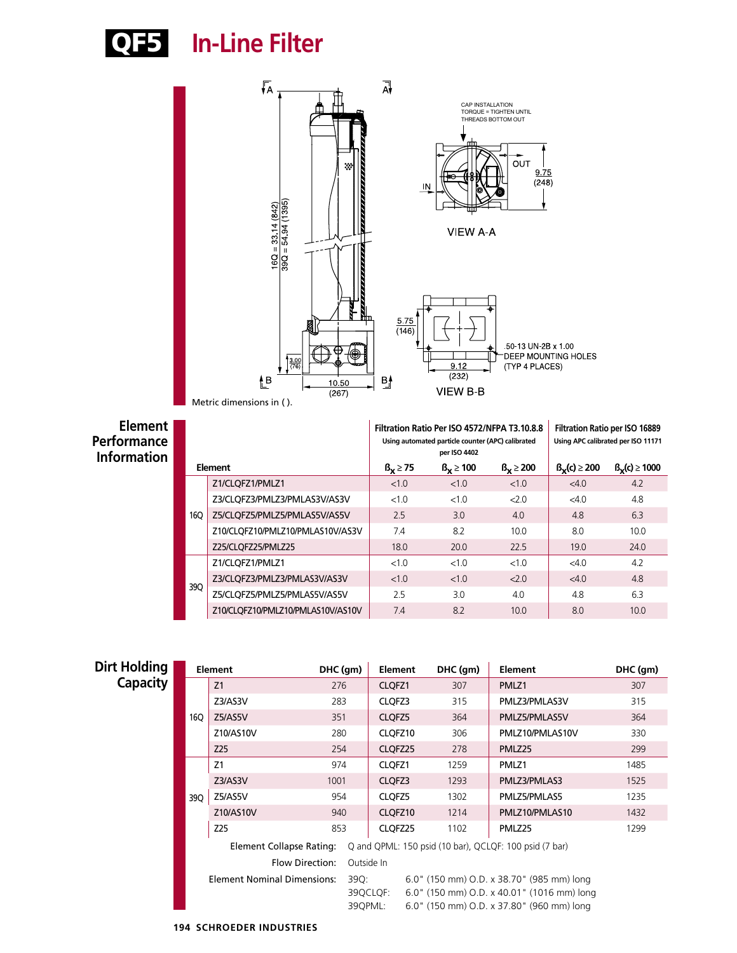



| Element<br><b>Performance</b><br><b>Information</b> |     |                                   |              | Filtration Ratio Per ISO 4572/NFPA T3.10.8.8<br>Using automated particle counter (APC) calibrated<br>per ISO 4402 |               | Filtration Ratio per ISO 16889 | Using APC calibrated per ISO 11171 |
|-----------------------------------------------------|-----|-----------------------------------|--------------|-------------------------------------------------------------------------------------------------------------------|---------------|--------------------------------|------------------------------------|
|                                                     |     | Element                           | $B_v \ge 75$ | $\beta_{\mathbf{y}} \ge 100$                                                                                      | $B_v \ge 200$ | $B_v(c) \ge 200$               | $B_{x}(c) \ge 1000$                |
|                                                     |     | Z1/CLQFZ1/PMLZ1                   | < 1.0        | < 1.0                                                                                                             | < 1.0         | <4.0                           | 4.2                                |
|                                                     |     | Z3/CLOFZ3/PMLZ3/PMLAS3V/AS3V      | < 1.0        | < 1.0                                                                                                             | 2.0           | <4.0                           | 4.8                                |
|                                                     | 16O | Z5/CLOFZ5/PMLZ5/PMLAS5V/AS5V      | 2.5          | 3.0                                                                                                               | 4.0           | 4.8                            | 6.3                                |
|                                                     |     | Z10/CLQFZ10/PMLZ10/PMLAS10V/AS3V  | 7.4          | 8.2                                                                                                               | 10.0          | 8.0                            | 10.0                               |
|                                                     |     | Z25/CLQFZ25/PMLZ25                | 18.0         | 20.0                                                                                                              | 22.5          | 19.0                           | 24.0                               |
|                                                     |     | Z1/CLQFZ1/PMLZ1                   | < 1.0        | < 1.0                                                                                                             | <1.0          | <4.0                           | 4.2                                |
|                                                     |     | Z3/CLQFZ3/PMLZ3/PMLAS3V/AS3V      | < 1.0        | < 1.0                                                                                                             | 2.0           | <4.0                           | 4.8                                |
|                                                     | 39Q | Z5/CLQFZ5/PMLZ5/PMLAS5V/AS5V      | 2.5          | 3.0                                                                                                               | 4.0           | 4.8                            | 6.3                                |
|                                                     |     | Z10/CLOFZ10/PMLZ10/PMLAS10V/AS10V | 7.4          | 8.2                                                                                                               | 10.0          | 8.0                            | 10.0                               |

| <b>Dirt Holding</b> |                                                       | <b>Element</b> | DHC (gm)           |            | <b>Element</b>                                         |  | DHC (gm) | <b>Element</b>                            | DHC (gm) |
|---------------------|-------------------------------------------------------|----------------|--------------------|------------|--------------------------------------------------------|--|----------|-------------------------------------------|----------|
| Capacity            |                                                       | Z1             | 276                |            | CLOFZ1                                                 |  | 307      | PMLZ1                                     | 307      |
|                     |                                                       | Z3/AS3V        | 283                |            | CLOFZ3                                                 |  | 315      | PMLZ3/PMLAS3V                             | 315      |
|                     | 16Q                                                   | Z5/AS5V        | 351                |            | CLOFZ <sub>5</sub>                                     |  | 364      | PMLZ5/PMLAS5V                             | 364      |
|                     |                                                       | Z10/AS10V      | 280                |            | CLOFZ <sub>10</sub>                                    |  | 306      | PMLZ10/PMLAS10V                           | 330      |
|                     |                                                       | Z25            | 254                |            | CLOFZ25                                                |  | 278      | PMLZ <sub>25</sub>                        | 299      |
|                     |                                                       | Z1             | 974                |            | CLOFZ1                                                 |  | 1259     | PMLZ1                                     | 1485     |
|                     |                                                       | Z3/AS3V        | 1001<br>954<br>940 |            | CLOFZ3                                                 |  | 1293     | PMLZ3/PMLAS3                              | 1525     |
|                     | 39Q                                                   | Z5/AS5V        |                    |            | CLOFZ5                                                 |  | 1302     | PMLZ5/PMLAS5                              | 1235     |
|                     |                                                       | Z10/AS10V      |                    |            | CLOFZ <sub>10</sub>                                    |  | 1214     | PMLZ10/PMLAS10                            | 1432     |
|                     |                                                       | Z25            | 853                |            | CLOFZ25                                                |  | 1102     | PMLZ25                                    | 1299     |
|                     | Element Collapse Rating:                              |                |                    |            | Q and QPML: 150 psid (10 bar), QCLQF: 100 psid (7 bar) |  |          |                                           |          |
|                     | Flow Direction:<br><b>Element Nominal Dimensions:</b> |                |                    | Outside In |                                                        |  |          |                                           |          |
|                     |                                                       |                |                    | 39Q:       |                                                        |  |          | 6.0" (150 mm) O.D. x 38.70" (985 mm) long |          |
|                     |                                                       |                |                    |            | 6.0" (150 mm) O.D. x 40.01" (1016 mm) long<br>39QCLQF: |  |          |                                           |          |
|                     |                                                       |                |                    |            | 6.0" (150 mm) O.D. x 37.80" (960 mm) long<br>39QPML:   |  |          |                                           |          |
|                     |                                                       |                |                    |            |                                                        |  |          |                                           |          |

**194 SCHROEDER INDUSTRIES**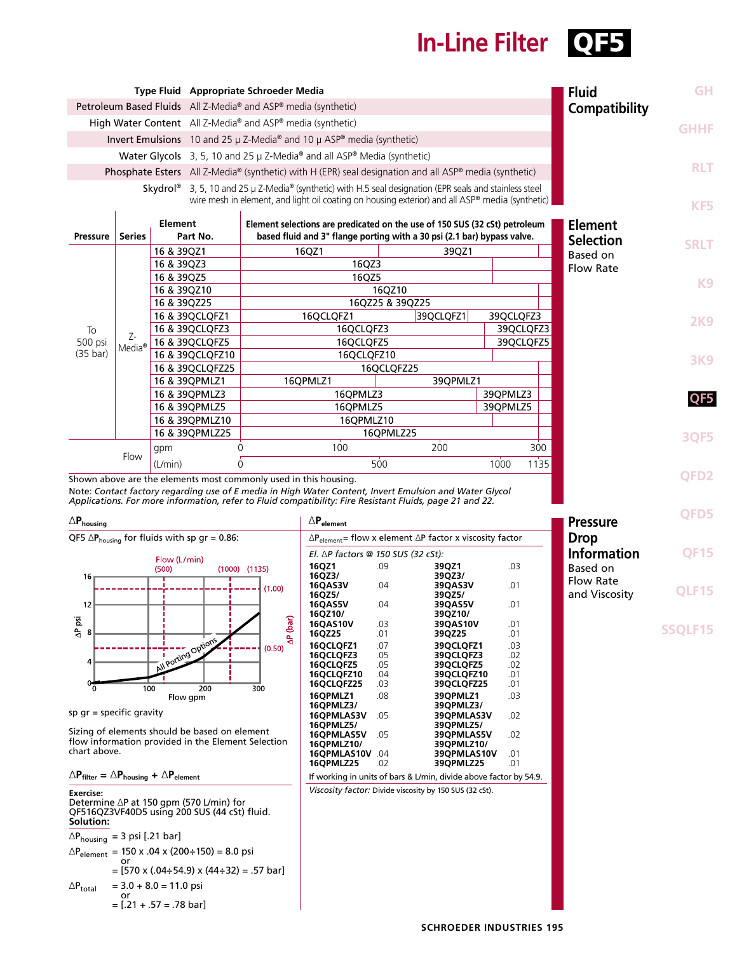# **In-Line Filter** QF5

**QFD5**

**Pressure Drop**

**Information** Based on Flow Rate and Viscosity

**QF15**

**QLF15**

**SSQLF15**

| Type Fluid Appropriate Schroeder Media                                  |                                                                                                       |             |                 |                                                                                                                                                       |                 |               |             |            | <b>Fluid</b>                 | <b>GH</b>       |    |  |  |
|-------------------------------------------------------------------------|-------------------------------------------------------------------------------------------------------|-------------|-----------------|-------------------------------------------------------------------------------------------------------------------------------------------------------|-----------------|---------------|-------------|------------|------------------------------|-----------------|----|--|--|
|                                                                         |                                                                                                       |             |                 | Petroleum Based Fluids All Z-Media <sup>®</sup> and ASP® media (synthetic)                                                                            |                 | Compatibility |             |            |                              |                 |    |  |  |
|                                                                         |                                                                                                       |             |                 | High Water Content All Z-Media <sup>®</sup> and ASP <sup>®</sup> media (synthetic)                                                                    |                 |               | <b>GHHF</b> |            |                              |                 |    |  |  |
|                                                                         | Invert Emulsions 10 and 25 $\mu$ Z-Media <sup>®</sup> and 10 $\mu$ ASP <sup>®</sup> media (synthetic) |             |                 |                                                                                                                                                       |                 |               |             |            |                              |                 |    |  |  |
| Water Glycols 3, 5, 10 and 25 µ Z-Media® and all ASP® Media (synthetic) |                                                                                                       |             |                 |                                                                                                                                                       |                 |               |             |            |                              |                 |    |  |  |
|                                                                         |                                                                                                       |             |                 | Phosphate Esters All Z-Media <sup>®</sup> (synthetic) with H (EPR) seal designation and all ASP <sup>®</sup> media (synthetic)                        |                 |               | <b>RLT</b>  |            |                              |                 |    |  |  |
|                                                                         |                                                                                                       |             |                 | Skydrol <sup>®</sup> 3, 5, 10 and 25 µ Z-Media <sup>®</sup> (synthetic) with H.5 seal designation (EPR seals and stainless steel                      |                 |               |             |            |                              |                 |    |  |  |
|                                                                         |                                                                                                       |             |                 | wire mesh in element, and light oil coating on housing exterior) and all ASP <sup>®</sup> media (synthetic)                                           |                 |               |             |            |                              | KF <sub>5</sub> |    |  |  |
|                                                                         |                                                                                                       | Element     |                 |                                                                                                                                                       |                 |               |             |            |                              |                 |    |  |  |
| Pressure                                                                | <b>Series</b>                                                                                         |             | Part No.        | Element selections are predicated on the use of 150 SUS (32 cSt) petroleum<br>based fluid and 3" flange porting with a 30 psi (2.1 bar) bypass valve. |                 |               |             |            | <b>Element</b>               |                 |    |  |  |
|                                                                         |                                                                                                       | 16 & 39QZ1  |                 | 16QZ1                                                                                                                                                 |                 | 39QZ1         |             |            | <b>Selection</b><br>Based on | <b>SRLT</b>     |    |  |  |
|                                                                         |                                                                                                       | 16 & 39QZ3  |                 |                                                                                                                                                       | 16QZ3           |               |             |            | <b>Flow Rate</b>             |                 |    |  |  |
|                                                                         |                                                                                                       |             | 16 & 39QZ5      |                                                                                                                                                       |                 | 16QZ5         |             |            |                              |                 | K9 |  |  |
|                                                                         |                                                                                                       | 16 & 39QZ10 |                 |                                                                                                                                                       |                 |               |             |            |                              |                 |    |  |  |
|                                                                         |                                                                                                       | 16 & 39QZ25 |                 | 16QZ25 & 39QZ25                                                                                                                                       |                 |               |             |            |                              |                 |    |  |  |
|                                                                         |                                                                                                       |             | 16 & 39QCLQFZ1  | 16QCLQFZ1                                                                                                                                             |                 | 39QCLQFZ1     | 39QCLQFZ3   |            |                              | 2K9             |    |  |  |
| To                                                                      | $Z-$                                                                                                  |             | 16 & 39QCLQFZ3  | 16QCLQFZ3                                                                                                                                             |                 | 39QCLQFZ3     |             |            |                              |                 |    |  |  |
| 500 psi                                                                 | Media <sup>®</sup>                                                                                    |             | 16 & 39QCLQFZ5  | 16QCLQFZ5                                                                                                                                             |                 | 39QCLQFZ5     |             |            |                              |                 |    |  |  |
| $(35 \text{ bar})$                                                      |                                                                                                       |             | 16 & 39QCLQFZ10 | 16QCLQFZ10                                                                                                                                            |                 |               |             | <b>3K9</b> |                              |                 |    |  |  |
|                                                                         |                                                                                                       |             |                 |                                                                                                                                                       | 16 & 39QCLQFZ25 |               | 16QCLQFZ25  |            |                              |                 |    |  |  |
|                                                                         |                                                                                                       |             | 16 & 39QPMLZ1   | 16QPMLZ1                                                                                                                                              |                 | 39QPMLZ1      |             |            |                              |                 |    |  |  |
|                                                                         |                                                                                                       |             | 16 & 39QPMLZ3   | 16QPMLZ3                                                                                                                                              |                 |               | 39QPMLZ3    |            |                              | QF5             |    |  |  |
|                                                                         |                                                                                                       |             |                 |                                                                                                                                                       |                 | 16 & 39QPMLZ5 | 16QPMLZ5    |            |                              | 39QPMLZ5        |    |  |  |
|                                                                         |                                                                                                       |             | 16 & 39QPMLZ10  |                                                                                                                                                       | 16QPMLZ10       |               |             |            |                              |                 |    |  |  |
|                                                                         |                                                                                                       |             | 16 & 39QPMLZ25  | 16QPMLZ25                                                                                                                                             |                 |               |             | 3QF5       |                              |                 |    |  |  |
|                                                                         | Flow                                                                                                  | gpm         |                 | 100<br>0                                                                                                                                              |                 | 200           |             | 300        |                              |                 |    |  |  |
|                                                                         |                                                                                                       | (L/min)     |                 |                                                                                                                                                       | 500             |               | 1000        | 1135       |                              |                 |    |  |  |
|                                                                         | <b>OFD2</b><br>Shown above are the elements most commonly used in this housing                        |             |                 |                                                                                                                                                       |                 |               |             |            |                              |                 |    |  |  |

Shown above are the elements most commonly used in this housing.

Note: *Contact factory regarding use of E media in High Water Content, Invert Emulsion and Water Glycol Applications. For more information, refer to Fluid compatibility: Fire Resistant Fluids, page 21 and 22.*

### QF5 ∆**P**housing for fluids with sp gr = 0.86: ∆**Phousing** ∆**Pelement**



sp gr = specific gravity

Sizing of elements should be based on element flow information provided in the Element Selection chart above.

∆**Pfilter =** ∆**Phousing +** ∆**Pelement**

Exercise:<br>Determine ∆P at 150 gpm (570 L/min) for<br>QF516QZ3VF40D5 using 200 SUS (44 cSt) fluid. **Solution:** ∆Phousing = 3 psi [.21 bar]  $\Delta P_{element}$  = 150 x .04 x (200÷150) = 8.0 psi or

$$
= [570 \times (.04 \div 54.9) \times (44 \div 32) = .57 \text{ bar}]
$$
  
\n
$$
\triangle P_{\text{total}} = 3.0 + 8.0 = 11.0 \text{ psi}
$$
  
\nor  
\n
$$
= [.21 + .57 = .78 \text{ bar}]
$$

| $\Delta P_{element}$ = flow x element $\Delta P$ factor x viscosity factor                                                                                                                                                                                                                                  |     |             |     |  |
|-------------------------------------------------------------------------------------------------------------------------------------------------------------------------------------------------------------------------------------------------------------------------------------------------------------|-----|-------------|-----|--|
| El. $\Delta P$ factors @ 150 SUS (32 cSt):                                                                                                                                                                                                                                                                  |     |             |     |  |
| 16QZ1                                                                                                                                                                                                                                                                                                       | .09 | 39QZ1       | .03 |  |
| 16QZ3/                                                                                                                                                                                                                                                                                                      |     | 39QZ3/      |     |  |
| 16QAS3V                                                                                                                                                                                                                                                                                                     | .04 | 39QAS3V     | .01 |  |
| 16QZ5/                                                                                                                                                                                                                                                                                                      |     | 39QZ5/      |     |  |
| 16QAS5V                                                                                                                                                                                                                                                                                                     | .04 | 39QAS5V     | .01 |  |
| 16QZ10/                                                                                                                                                                                                                                                                                                     |     | 39QZ10/     |     |  |
| <b>16QAS10V</b>                                                                                                                                                                                                                                                                                             | .03 | 39QAS10V    | .01 |  |
| 16QZ25                                                                                                                                                                                                                                                                                                      | .01 | 39QZ25      | .01 |  |
| 16QCLQFZ1                                                                                                                                                                                                                                                                                                   | .07 | 39QCLQFZ1   | .03 |  |
| <b>16OCLOFZ3</b>                                                                                                                                                                                                                                                                                            | .05 | 39OCLOFZ3   | .02 |  |
| <b>16OCLOFZ5</b>                                                                                                                                                                                                                                                                                            | .05 | 39OCLOFZ5   | .02 |  |
| <b>16QCLQFZ10</b>                                                                                                                                                                                                                                                                                           | .04 | 39QCLQFZ10  | .01 |  |
| 16QCLQFZ25                                                                                                                                                                                                                                                                                                  | .03 | 39QCLQFZ25  | .01 |  |
| 16QPMLZ1                                                                                                                                                                                                                                                                                                    | .08 | 39QPMLZ1    | .03 |  |
| 16OPMLZ3/                                                                                                                                                                                                                                                                                                   |     | 390PMLZ3/   |     |  |
| 16OPMLAS3V                                                                                                                                                                                                                                                                                                  | .05 | 39OPMLAS3V  | .02 |  |
| 16OPMLZ5/                                                                                                                                                                                                                                                                                                   |     | 39QPMLZ5/   |     |  |
| 16QPMLAS5V                                                                                                                                                                                                                                                                                                  | .05 | 39QPMLAS5V  | .02 |  |
| 16OPMLZ10/                                                                                                                                                                                                                                                                                                  |     | 39OPMLZ10/  |     |  |
| 16QPMLAS10V .04                                                                                                                                                                                                                                                                                             |     | 39QPMLAS10V | .01 |  |
| 16QPMLZ25                                                                                                                                                                                                                                                                                                   | .02 | 39QPMLZ25   | .01 |  |
| If working in units of bars & L/min, divide above factor by 54.9.                                                                                                                                                                                                                                           |     |             |     |  |
| $\mathbf{r}$ , $\mathbf{r}$ , $\mathbf{r}$ , $\mathbf{r}$ , $\mathbf{r}$ , $\mathbf{r}$ , $\mathbf{r}$ , $\mathbf{r}$ , $\mathbf{r}$ , $\mathbf{r}$ , $\mathbf{r}$ , $\mathbf{r}$ , $\mathbf{r}$ , $\mathbf{r}$ , $\mathbf{r}$ , $\mathbf{r}$ , $\mathbf{r}$ , $\mathbf{r}$ , $\mathbf{r}$ , $\mathbf{r}$ , |     |             |     |  |

*Viscosity factor:* Divide viscosity by 150 SUS (32 cSt).